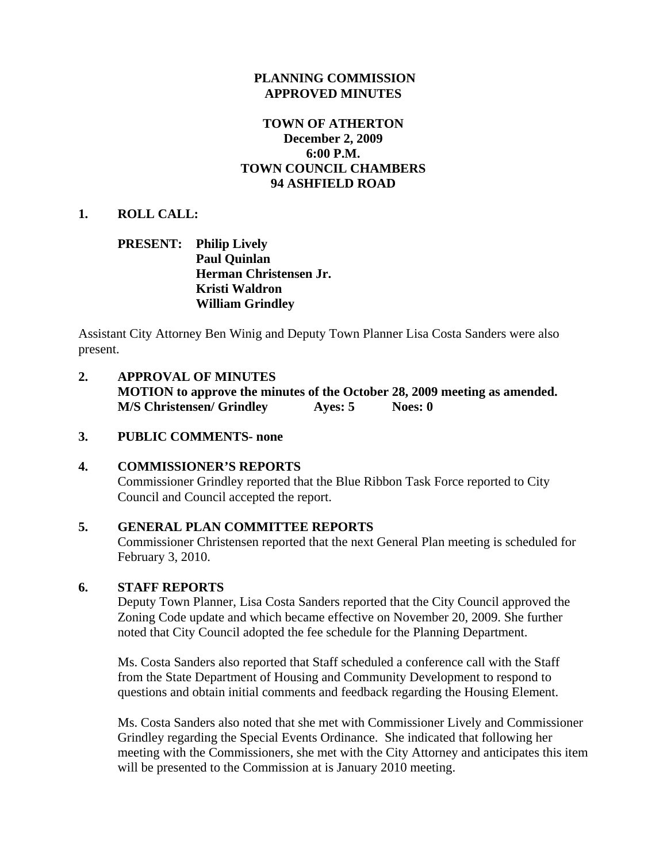#### **PLANNING COMMISSION APPROVED MINUTES**

### **TOWN OF ATHERTON December 2, 2009 6:00 P.M. TOWN COUNCIL CHAMBERS 94 ASHFIELD ROAD**

#### **1. ROLL CALL:**

#### **PRESENT: Philip Lively Paul Quinlan Herman Christensen Jr. Kristi Waldron William Grindley**

Assistant City Attorney Ben Winig and Deputy Town Planner Lisa Costa Sanders were also present.

**2. APPROVAL OF MINUTES MOTION to approve the minutes of the October 28, 2009 meeting as amended. M/S Christensen/ Grindley Ayes: 5 Noes: 0** 

#### **3. PUBLIC COMMENTS- none**

### **4. COMMISSIONER'S REPORTS**  Commissioner Grindley reported that the Blue Ribbon Task Force reported to City Council and Council accepted the report.

#### **5. GENERAL PLAN COMMITTEE REPORTS**

Commissioner Christensen reported that the next General Plan meeting is scheduled for February 3, 2010.

#### **6. STAFF REPORTS**

Deputy Town Planner, Lisa Costa Sanders reported that the City Council approved the Zoning Code update and which became effective on November 20, 2009. She further noted that City Council adopted the fee schedule for the Planning Department.

Ms. Costa Sanders also reported that Staff scheduled a conference call with the Staff from the State Department of Housing and Community Development to respond to questions and obtain initial comments and feedback regarding the Housing Element.

Ms. Costa Sanders also noted that she met with Commissioner Lively and Commissioner Grindley regarding the Special Events Ordinance. She indicated that following her meeting with the Commissioners, she met with the City Attorney and anticipates this item will be presented to the Commission at is January 2010 meeting.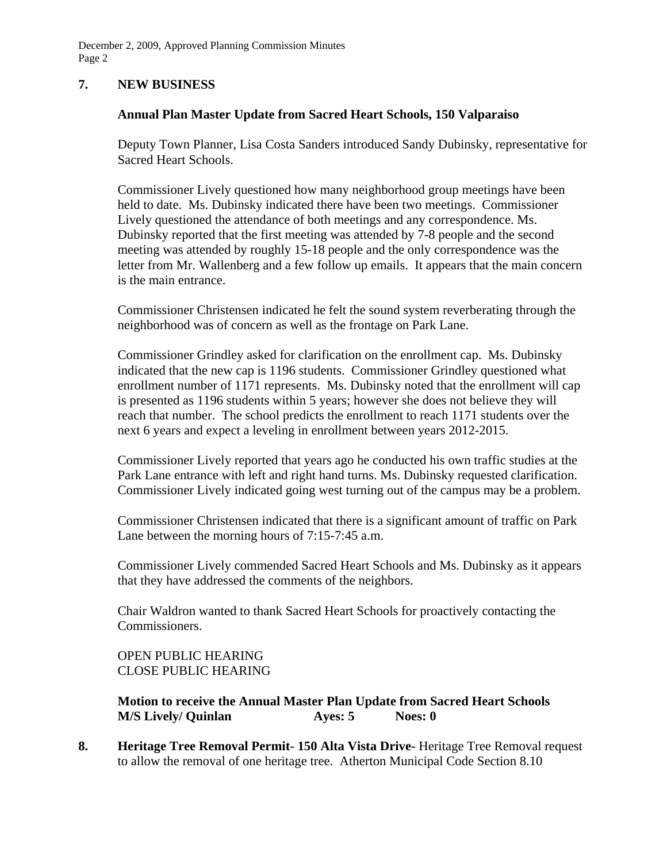December 2, 2009, Approved Planning Commission Minutes Page 2

### **7. NEW BUSINESS**

### **Annual Plan Master Update from Sacred Heart Schools, 150 Valparaiso**

Deputy Town Planner, Lisa Costa Sanders introduced Sandy Dubinsky, representative for Sacred Heart Schools.

Commissioner Lively questioned how many neighborhood group meetings have been held to date. Ms. Dubinsky indicated there have been two meetings. Commissioner Lively questioned the attendance of both meetings and any correspondence. Ms. Dubinsky reported that the first meeting was attended by 7-8 people and the second meeting was attended by roughly 15-18 people and the only correspondence was the letter from Mr. Wallenberg and a few follow up emails. It appears that the main concern is the main entrance.

Commissioner Christensen indicated he felt the sound system reverberating through the neighborhood was of concern as well as the frontage on Park Lane.

Commissioner Grindley asked for clarification on the enrollment cap. Ms. Dubinsky indicated that the new cap is 1196 students. Commissioner Grindley questioned what enrollment number of 1171 represents. Ms. Dubinsky noted that the enrollment will cap is presented as 1196 students within 5 years; however she does not believe they will reach that number. The school predicts the enrollment to reach 1171 students over the next 6 years and expect a leveling in enrollment between years 2012-2015.

Commissioner Lively reported that years ago he conducted his own traffic studies at the Park Lane entrance with left and right hand turns. Ms. Dubinsky requested clarification. Commissioner Lively indicated going west turning out of the campus may be a problem.

Commissioner Christensen indicated that there is a significant amount of traffic on Park Lane between the morning hours of 7:15-7:45 a.m.

Commissioner Lively commended Sacred Heart Schools and Ms. Dubinsky as it appears that they have addressed the comments of the neighbors.

Chair Waldron wanted to thank Sacred Heart Schools for proactively contacting the Commissioners.

### OPEN PUBLIC HEARING CLOSE PUBLIC HEARING

**Motion to receive the Annual Master Plan Update from Sacred Heart Schools M/S Lively/ Quinlan Ayes: 5** Noes: 0

**8. Heritage Tree Removal Permit- 150 Alta Vista Drive-** Heritage Tree Removal request to allow the removal of one heritage tree. Atherton Municipal Code Section 8.10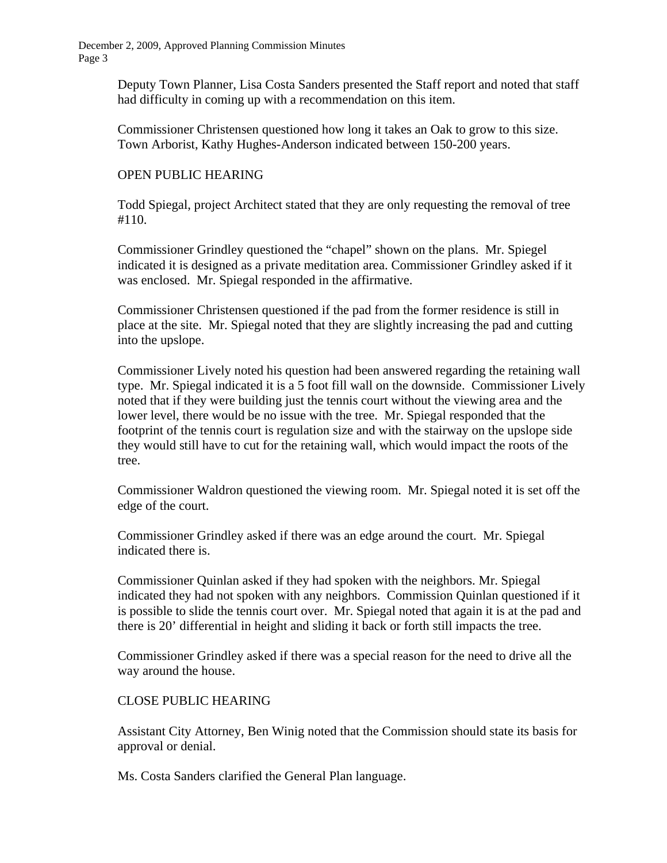December 2, 2009, Approved Planning Commission Minutes Page 3

> Deputy Town Planner, Lisa Costa Sanders presented the Staff report and noted that staff had difficulty in coming up with a recommendation on this item.

 Commissioner Christensen questioned how long it takes an Oak to grow to this size. Town Arborist, Kathy Hughes-Anderson indicated between 150-200 years.

#### OPEN PUBLIC HEARING

 Todd Spiegal, project Architect stated that they are only requesting the removal of tree #110.

 Commissioner Grindley questioned the "chapel" shown on the plans. Mr. Spiegel indicated it is designed as a private meditation area. Commissioner Grindley asked if it was enclosed. Mr. Spiegal responded in the affirmative.

 Commissioner Christensen questioned if the pad from the former residence is still in place at the site. Mr. Spiegal noted that they are slightly increasing the pad and cutting into the upslope.

 Commissioner Lively noted his question had been answered regarding the retaining wall type. Mr. Spiegal indicated it is a 5 foot fill wall on the downside. Commissioner Lively noted that if they were building just the tennis court without the viewing area and the lower level, there would be no issue with the tree. Mr. Spiegal responded that the footprint of the tennis court is regulation size and with the stairway on the upslope side they would still have to cut for the retaining wall, which would impact the roots of the tree.

 Commissioner Waldron questioned the viewing room. Mr. Spiegal noted it is set off the edge of the court.

 Commissioner Grindley asked if there was an edge around the court. Mr. Spiegal indicated there is.

 Commissioner Quinlan asked if they had spoken with the neighbors. Mr. Spiegal indicated they had not spoken with any neighbors. Commission Quinlan questioned if it is possible to slide the tennis court over. Mr. Spiegal noted that again it is at the pad and there is 20' differential in height and sliding it back or forth still impacts the tree.

 Commissioner Grindley asked if there was a special reason for the need to drive all the way around the house.

#### CLOSE PUBLIC HEARING

 Assistant City Attorney, Ben Winig noted that the Commission should state its basis for approval or denial.

Ms. Costa Sanders clarified the General Plan language.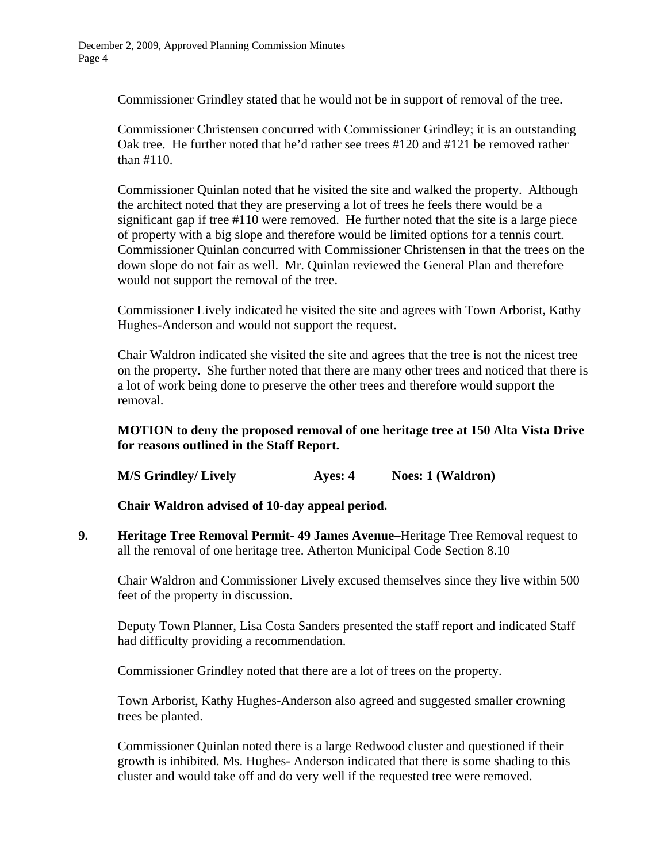Commissioner Grindley stated that he would not be in support of removal of the tree.

 Commissioner Christensen concurred with Commissioner Grindley; it is an outstanding Oak tree. He further noted that he'd rather see trees #120 and #121 be removed rather than #110.

 Commissioner Quinlan noted that he visited the site and walked the property. Although the architect noted that they are preserving a lot of trees he feels there would be a significant gap if tree #110 were removed. He further noted that the site is a large piece of property with a big slope and therefore would be limited options for a tennis court. Commissioner Quinlan concurred with Commissioner Christensen in that the trees on the down slope do not fair as well. Mr. Quinlan reviewed the General Plan and therefore would not support the removal of the tree.

 Commissioner Lively indicated he visited the site and agrees with Town Arborist, Kathy Hughes-Anderson and would not support the request.

 Chair Waldron indicated she visited the site and agrees that the tree is not the nicest tree on the property. She further noted that there are many other trees and noticed that there is a lot of work being done to preserve the other trees and therefore would support the removal.

### **MOTION to deny the proposed removal of one heritage tree at 150 Alta Vista Drive for reasons outlined in the Staff Report.**

**M/S Grindley/ Lively Ayes: 4** Noes: 1 (Waldron)

 **Chair Waldron advised of 10-day appeal period.**

**9. Heritage Tree Removal Permit- 49 James Avenue–**Heritage Tree Removal request to all the removal of one heritage tree. Atherton Municipal Code Section 8.10

Chair Waldron and Commissioner Lively excused themselves since they live within 500 feet of the property in discussion.

Deputy Town Planner, Lisa Costa Sanders presented the staff report and indicated Staff had difficulty providing a recommendation.

Commissioner Grindley noted that there are a lot of trees on the property.

Town Arborist, Kathy Hughes-Anderson also agreed and suggested smaller crowning trees be planted.

 Commissioner Quinlan noted there is a large Redwood cluster and questioned if their growth is inhibited. Ms. Hughes- Anderson indicated that there is some shading to this cluster and would take off and do very well if the requested tree were removed.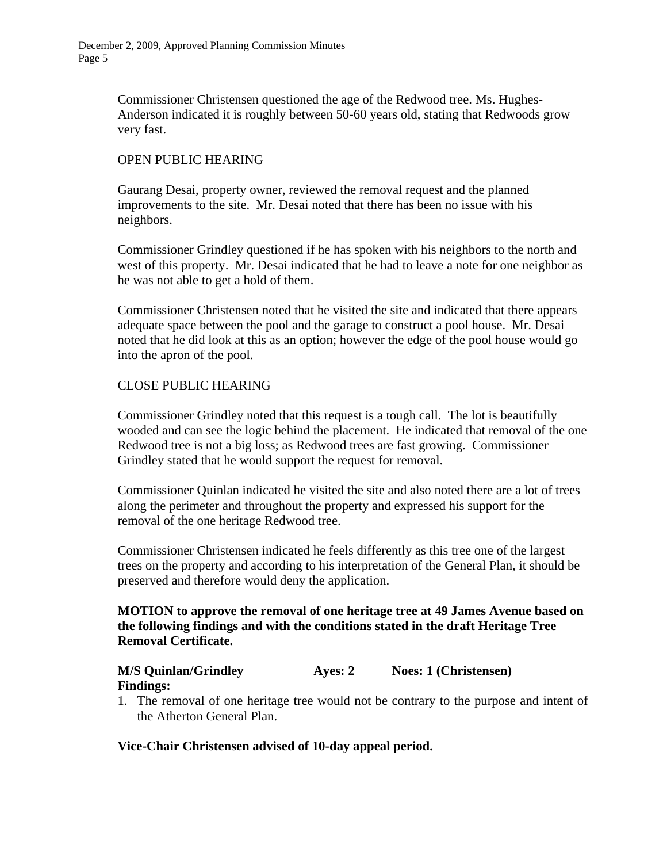Commissioner Christensen questioned the age of the Redwood tree. Ms. Hughes-Anderson indicated it is roughly between 50-60 years old, stating that Redwoods grow very fast.

### OPEN PUBLIC HEARING

 Gaurang Desai, property owner, reviewed the removal request and the planned improvements to the site. Mr. Desai noted that there has been no issue with his neighbors.

 Commissioner Grindley questioned if he has spoken with his neighbors to the north and west of this property. Mr. Desai indicated that he had to leave a note for one neighbor as he was not able to get a hold of them.

 Commissioner Christensen noted that he visited the site and indicated that there appears adequate space between the pool and the garage to construct a pool house. Mr. Desai noted that he did look at this as an option; however the edge of the pool house would go into the apron of the pool.

### CLOSE PUBLIC HEARING

 Commissioner Grindley noted that this request is a tough call. The lot is beautifully wooded and can see the logic behind the placement. He indicated that removal of the one Redwood tree is not a big loss; as Redwood trees are fast growing. Commissioner Grindley stated that he would support the request for removal.

 Commissioner Quinlan indicated he visited the site and also noted there are a lot of trees along the perimeter and throughout the property and expressed his support for the removal of the one heritage Redwood tree.

 Commissioner Christensen indicated he feels differently as this tree one of the largest trees on the property and according to his interpretation of the General Plan, it should be preserved and therefore would deny the application.

### **MOTION to approve the removal of one heritage tree at 49 James Avenue based on the following findings and with the conditions stated in the draft Heritage Tree Removal Certificate.**

#### **M/S Quinlan/Grindley Ayes: 2 Noes: 1 (Christensen) Findings:**

1. The removal of one heritage tree would not be contrary to the purpose and intent of the Atherton General Plan.

#### **Vice-Chair Christensen advised of 10-day appeal period.**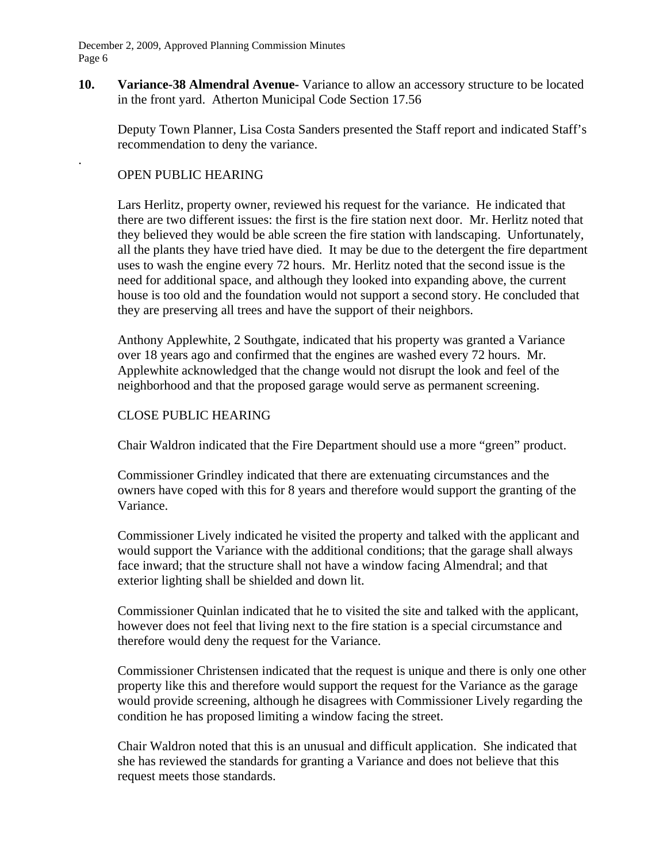December 2, 2009, Approved Planning Commission Minutes Page 6

**10. Variance-38 Almendral Avenue-** Variance to allow an accessory structure to be located in the front yard. Atherton Municipal Code Section 17.56

Deputy Town Planner, Lisa Costa Sanders presented the Staff report and indicated Staff's recommendation to deny the variance.

### OPEN PUBLIC HEARING

.

 Lars Herlitz, property owner, reviewed his request for the variance. He indicated that there are two different issues: the first is the fire station next door. Mr. Herlitz noted that they believed they would be able screen the fire station with landscaping. Unfortunately, all the plants they have tried have died. It may be due to the detergent the fire department uses to wash the engine every 72 hours. Mr. Herlitz noted that the second issue is the need for additional space, and although they looked into expanding above, the current house is too old and the foundation would not support a second story. He concluded that they are preserving all trees and have the support of their neighbors.

 Anthony Applewhite, 2 Southgate, indicated that his property was granted a Variance over 18 years ago and confirmed that the engines are washed every 72 hours. Mr. Applewhite acknowledged that the change would not disrupt the look and feel of the neighborhood and that the proposed garage would serve as permanent screening.

#### CLOSE PUBLIC HEARING

Chair Waldron indicated that the Fire Department should use a more "green" product.

 Commissioner Grindley indicated that there are extenuating circumstances and the owners have coped with this for 8 years and therefore would support the granting of the Variance.

 Commissioner Lively indicated he visited the property and talked with the applicant and would support the Variance with the additional conditions; that the garage shall always face inward; that the structure shall not have a window facing Almendral; and that exterior lighting shall be shielded and down lit.

 Commissioner Quinlan indicated that he to visited the site and talked with the applicant, however does not feel that living next to the fire station is a special circumstance and therefore would deny the request for the Variance.

 Commissioner Christensen indicated that the request is unique and there is only one other property like this and therefore would support the request for the Variance as the garage would provide screening, although he disagrees with Commissioner Lively regarding the condition he has proposed limiting a window facing the street.

 Chair Waldron noted that this is an unusual and difficult application. She indicated that she has reviewed the standards for granting a Variance and does not believe that this request meets those standards.